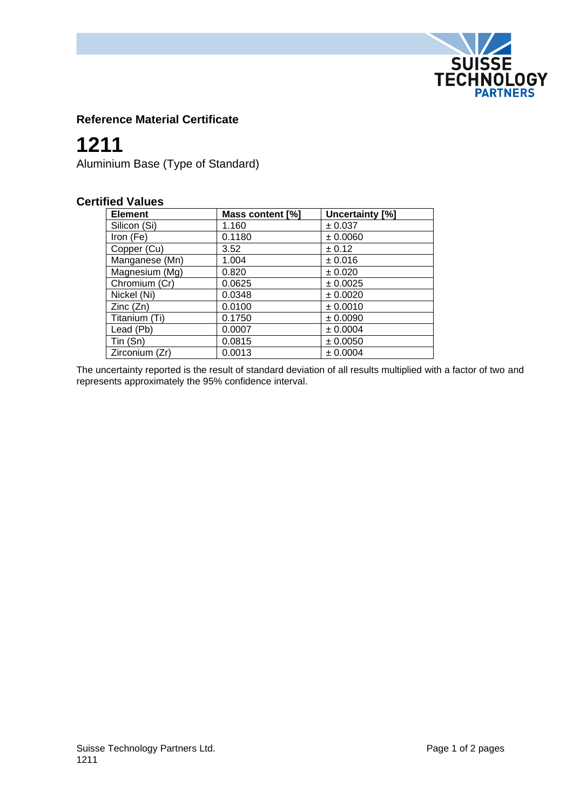

## **Reference Material Certificate**

# **1211**

Aluminium Base (Type of Standard)

### **Certified Values**

| <b>Element</b> | Mass content [%] | Uncertainty [%] |
|----------------|------------------|-----------------|
| Silicon (Si)   | 1.160            | ± 0.037         |
| Iron (Fe)      | 0.1180           | ± 0.0060        |
| Copper (Cu)    | 3.52             | $\pm$ 0.12      |
| Manganese (Mn) | 1.004            | ± 0.016         |
| Magnesium (Mg) | 0.820            | ± 0.020         |
| Chromium (Cr)  | 0.0625           | ± 0.0025        |
| Nickel (Ni)    | 0.0348           | ± 0.0020        |
| Zinc(Zn)       | 0.0100           | ± 0.0010        |
| Titanium (Ti)  | 0.1750           | ± 0.0090        |
| Lead (Pb)      | 0.0007           | ± 0.0004        |
| Tin (Sn)       | 0.0815           | ± 0.0050        |
| Zirconium (Zr) | 0.0013           | ± 0.0004        |

The uncertainty reported is the result of standard deviation of all results multiplied with a factor of two and represents approximately the 95% confidence interval.